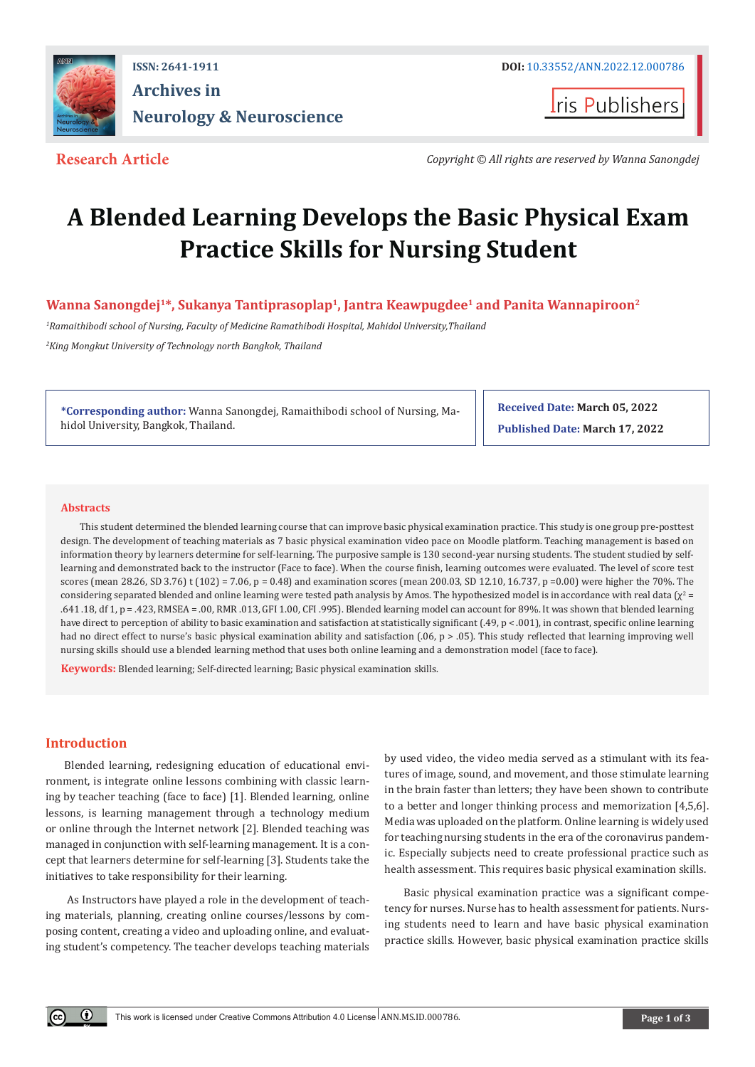

## **ISSN: 2641-1911 DOI:** [10.33552/ANN.2022.12.000786](http://dx.doi.org/10.33552/ANN.2022.12.000776) **Archives in Neurology & Neuroscience**

**I**ris Publishers

**Research Article** Copyright © All rights are reserved by Wanna Sanongdej

# **A Blended Learning Develops the Basic Physical Exam Practice Skills for Nursing Student**

**Wanna Sanongdej1\*, Sukanya Tantiprasoplap1, Jantra Keawpugdee1 and Panita Wannapiroon2**

*1 Ramaithibodi school of Nursing, Faculty of Medicine Ramathibodi Hospital, Mahidol University,Thailand 2 King Mongkut University of Technology north Bangkok, Thailand*

**\*Corresponding author:** Wanna Sanongdej, Ramaithibodi school of Nursing, Mahidol University, Bangkok, Thailand.

**Received Date: March 05, 2022 Published Date: March 17, 2022**

#### **Abstracts**

This student determined the blended learning course that can improve basic physical examination practice. This study is one group pre-posttest design. The development of teaching materials as 7 basic physical examination video pace on Moodle platform. Teaching management is based on information theory by learners determine for self-learning. The purposive sample is 130 second-year nursing students. The student studied by selflearning and demonstrated back to the instructor (Face to face). When the course finish, learning outcomes were evaluated. The level of score test scores (mean 28.26, SD 3.76) t (102) = 7.06, p = 0.48) and examination scores (mean 200.03, SD 12.10, 16.737, p = 0.00) were higher the 70%. The considering separated blended and online learning were tested path analysis by Amos. The hypothesized model is in accordance with real data (χ² = .641 .18, df 1, p = .423, RMSEA = .00, RMR .013, GFI 1.00, CFI .995). Blended learning model can account for 89%. It was shown that blended learning have direct to perception of ability to basic examination and satisfaction at statistically significant (.49, p < .001), in contrast, specific online learning had no direct effect to nurse's basic physical examination ability and satisfaction (.06, p > .05). This study reflected that learning improving well nursing skills should use a blended learning method that uses both online learning and a demonstration model (face to face).

**Keywords:** Blended learning; Self-directed learning; Basic physical examination skills.

#### **Introduction**

 $\odot$ 

Blended learning, redesigning education of educational environment, is integrate online lessons combining with classic learning by teacher teaching (face to face) [1]. Blended learning, online lessons, is learning management through a technology medium or online through the Internet network [2]. Blended teaching was managed in conjunction with self-learning management. It is a concept that learners determine for self-learning [3]. Students take the initiatives to take responsibility for their learning.

 As Instructors have played a role in the development of teaching materials, planning, creating online courses/lessons by composing content, creating a video and uploading online, and evaluating student's competency. The teacher develops teaching materials by used video, the video media served as a stimulant with its features of image, sound, and movement, and those stimulate learning in the brain faster than letters; they have been shown to contribute to a better and longer thinking process and memorization [4,5,6]. Media was uploaded on the platform. Online learning is widely used for teaching nursing students in the era of the coronavirus pandemic. Especially subjects need to create professional practice such as health assessment. This requires basic physical examination skills.

Basic physical examination practice was a significant competency for nurses. Nurse has to health assessment for patients. Nursing students need to learn and have basic physical examination practice skills. However, basic physical examination practice skills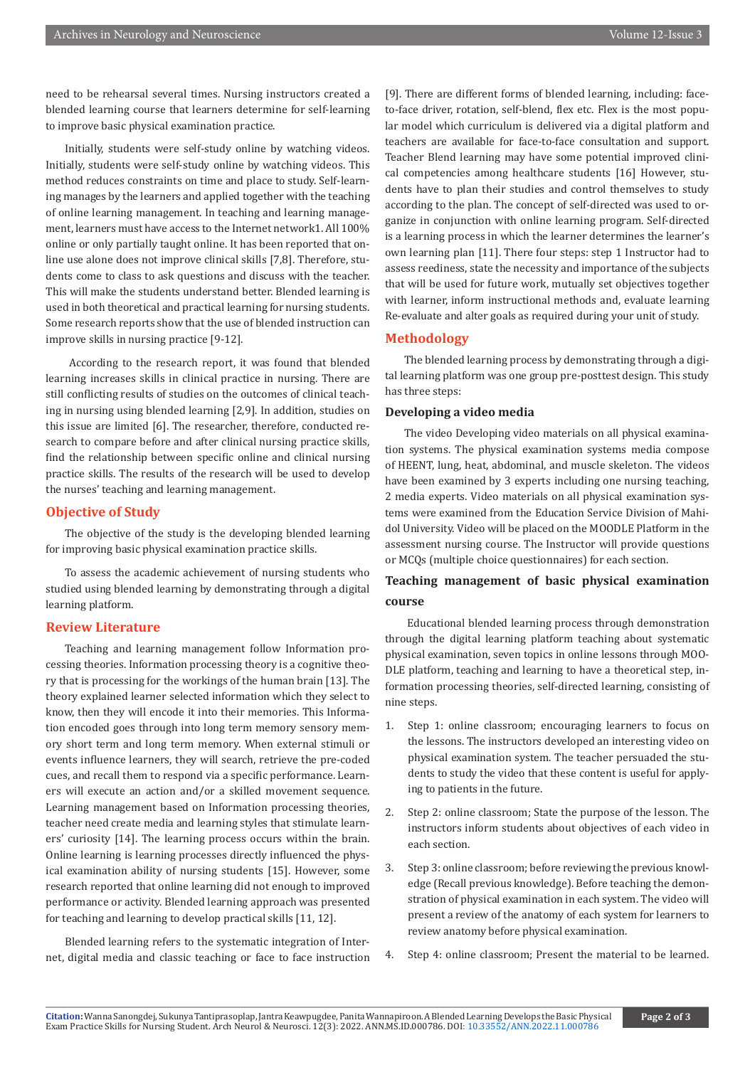need to be rehearsal several times. Nursing instructors created a blended learning course that learners determine for self-learning to improve basic physical examination practice.

Initially, students were self-study online by watching videos. Initially, students were self-study online by watching videos. This method reduces constraints on time and place to study. Self-learning manages by the learners and applied together with the teaching of online learning management. In teaching and learning management, learners must have access to the Internet network1. All 100% online or only partially taught online. It has been reported that online use alone does not improve clinical skills [7,8]. Therefore, students come to class to ask questions and discuss with the teacher. This will make the students understand better. Blended learning is used in both theoretical and practical learning for nursing students. Some research reports show that the use of blended instruction can improve skills in nursing practice [9-12].

 According to the research report, it was found that blended learning increases skills in clinical practice in nursing. There are still conflicting results of studies on the outcomes of clinical teaching in nursing using blended learning [2,9]. In addition, studies on this issue are limited [6]. The researcher, therefore, conducted research to compare before and after clinical nursing practice skills, find the relationship between specific online and clinical nursing practice skills. The results of the research will be used to develop the nurses' teaching and learning management.

#### **Objective of Study**

The objective of the study is the developing blended learning for improving basic physical examination practice skills.

To assess the academic achievement of nursing students who studied using blended learning by demonstrating through a digital learning platform.

#### **Review Literature**

Teaching and learning management follow Information processing theories. Information processing theory is a cognitive theory that is processing for the workings of the human brain [13]. The theory explained learner selected information which they select to know, then they will encode it into their memories. This Information encoded goes through into long term memory sensory memory short term and long term memory. When external stimuli or events influence learners, they will search, retrieve the pre-coded cues, and recall them to respond via a specific performance. Learners will execute an action and/or a skilled movement sequence. Learning management based on Information processing theories, teacher need create media and learning styles that stimulate learners' curiosity [14]. The learning process occurs within the brain. Online learning is learning processes directly influenced the physical examination ability of nursing students [15]. However, some research reported that online learning did not enough to improved performance or activity. Blended learning approach was presented for teaching and learning to develop practical skills [11, 12].

Blended learning refers to the systematic integration of Internet, digital media and classic teaching or face to face instruction [9]. There are different forms of blended learning, including: faceto-face driver, rotation, self-blend, flex etc. Flex is the most popular model which curriculum is delivered via a digital platform and teachers are available for face-to-face consultation and support. Teacher Blend learning may have some potential improved clinical competencies among healthcare students [16] However, students have to plan their studies and control themselves to study according to the plan. The concept of self-directed was used to organize in conjunction with online learning program. Self-directed is a learning process in which the learner determines the learner's own learning plan [11]. There four steps: step 1 Instructor had to assess reediness, state the necessity and importance of the subjects that will be used for future work, mutually set objectives together with learner, inform instructional methods and, evaluate learning Re-evaluate and alter goals as required during your unit of study.

#### **Methodology**

The blended learning process by demonstrating through a digital learning platform was one group pre-posttest design. This study has three steps:

#### **Developing a video media**

The video Developing video materials on all physical examination systems. The physical examination systems media compose of HEENT, lung, heat, abdominal, and muscle skeleton. The videos have been examined by 3 experts including one nursing teaching, 2 media experts. Video materials on all physical examination systems were examined from the Education Service Division of Mahidol University. Video will be placed on the MOODLE Platform in the assessment nursing course. The Instructor will provide questions or MCQs (multiple choice questionnaires) for each section.

### **Teaching management of basic physical examination course**

 Educational blended learning process through demonstration through the digital learning platform teaching about systematic physical examination, seven topics in online lessons through MOO-DLE platform, teaching and learning to have a theoretical step, information processing theories, self-directed learning, consisting of nine steps.

- 1. Step 1: online classroom; encouraging learners to focus on the lessons. The instructors developed an interesting video on physical examination system. The teacher persuaded the students to study the video that these content is useful for applying to patients in the future.
- 2. Step 2: online classroom; State the purpose of the lesson. The instructors inform students about objectives of each video in each section.
- 3. Step 3: online classroom; before reviewing the previous knowledge (Recall previous knowledge). Before teaching the demonstration of physical examination in each system. The video will present a review of the anatomy of each system for learners to review anatomy before physical examination.
- 4. Step 4: online classroom; Present the material to be learned.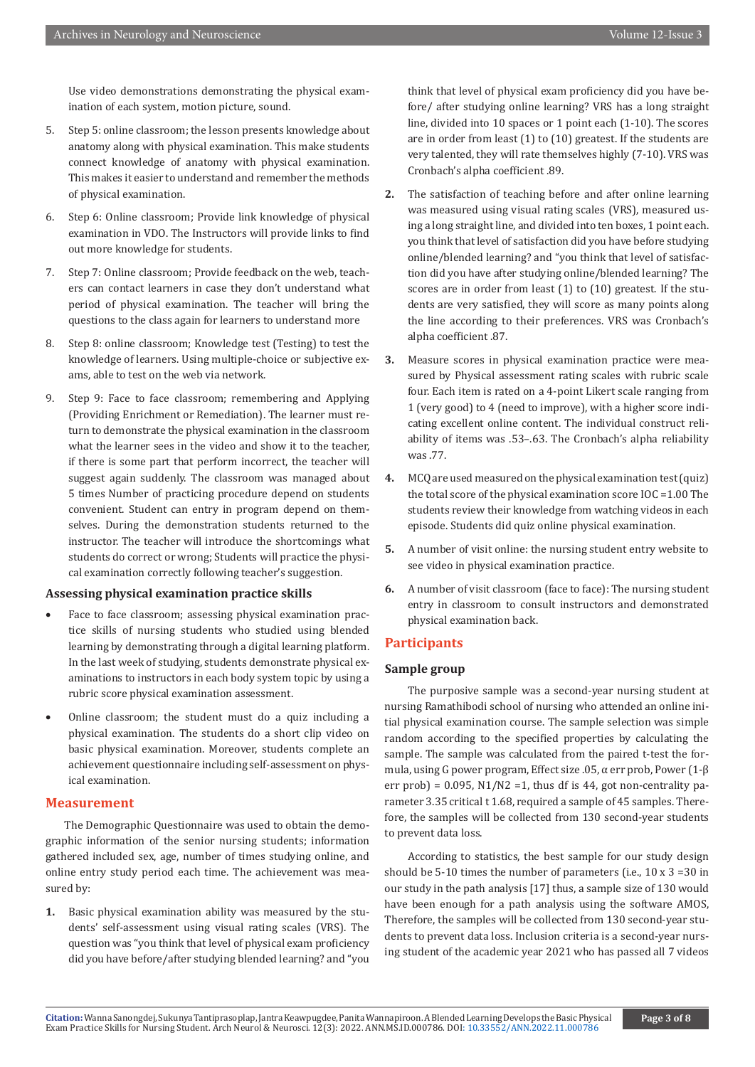Use video demonstrations demonstrating the physical examination of each system, motion picture, sound.

- 5. Step 5: online classroom; the lesson presents knowledge about anatomy along with physical examination. This make students connect knowledge of anatomy with physical examination. This makes it easier to understand and remember the methods of physical examination.
- 6. Step 6: Online classroom; Provide link knowledge of physical examination in VDO. The Instructors will provide links to find out more knowledge for students.
- 7. Step 7: Online classroom; Provide feedback on the web, teachers can contact learners in case they don't understand what period of physical examination. The teacher will bring the questions to the class again for learners to understand more
- 8. Step 8: online classroom; Knowledge test (Testing) to test the knowledge of learners. Using multiple-choice or subjective exams, able to test on the web via network.
- 9. Step 9: Face to face classroom; remembering and Applying (Providing Enrichment or Remediation). The learner must return to demonstrate the physical examination in the classroom what the learner sees in the video and show it to the teacher, if there is some part that perform incorrect, the teacher will suggest again suddenly. The classroom was managed about 5 times Number of practicing procedure depend on students convenient. Student can entry in program depend on themselves. During the demonstration students returned to the instructor. The teacher will introduce the shortcomings what students do correct or wrong; Students will practice the physical examination correctly following teacher's suggestion.

#### **Assessing physical examination practice skills**

- Face to face classroom; assessing physical examination practice skills of nursing students who studied using blended learning by demonstrating through a digital learning platform. In the last week of studying, students demonstrate physical examinations to instructors in each body system topic by using a rubric score physical examination assessment.
- Online classroom; the student must do a quiz including a physical examination. The students do a short clip video on basic physical examination. Moreover, students complete an achievement questionnaire including self-assessment on physical examination.

#### **Measurement**

The Demographic Questionnaire was used to obtain the demographic information of the senior nursing students; information gathered included sex, age, number of times studying online, and online entry study period each time. The achievement was measured by:

**1.** Basic physical examination ability was measured by the students' self-assessment using visual rating scales (VRS). The question was "you think that level of physical exam proficiency did you have before/after studying blended learning? and "you

think that level of physical exam proficiency did you have before/ after studying online learning? VRS has a long straight line, divided into 10 spaces or 1 point each (1-10). The scores are in order from least (1) to (10) greatest. If the students are very talented, they will rate themselves highly (7-10). VRS was Cronbach's alpha coefficient .89.

- **2.** The satisfaction of teaching before and after online learning was measured using visual rating scales (VRS), measured using a long straight line, and divided into ten boxes, 1 point each. you think that level of satisfaction did you have before studying online/blended learning? and "you think that level of satisfaction did you have after studying online/blended learning? The scores are in order from least (1) to (10) greatest. If the students are very satisfied, they will score as many points along the line according to their preferences. VRS was Cronbach's alpha coefficient .87.
- **3.** Measure scores in physical examination practice were measured by Physical assessment rating scales with rubric scale four. Each item is rated on a 4-point Likert scale ranging from 1 (very good) to 4 (need to improve), with a higher score indicating excellent online content. The individual construct reliability of items was .53–.63. The Cronbach's alpha reliability was .77.
- **4.** MCQ are used measured on the physical examination test (quiz) the total score of the physical examination score IOC =1.00 The students review their knowledge from watching videos in each episode. Students did quiz online physical examination.
- **5.** A number of visit online: the nursing student entry website to see video in physical examination practice.
- **6.** A number of visit classroom (face to face): The nursing student entry in classroom to consult instructors and demonstrated physical examination back.

#### **Participants**

#### **Sample group**

 The purposive sample was a second-year nursing student at nursing Ramathibodi school of nursing who attended an online initial physical examination course. The sample selection was simple random according to the specified properties by calculating the sample. The sample was calculated from the paired t-test the formula, using G power program, Effect size .05, α err prob, Power (1-β err prob) =  $0.095$ , N1/N2 = 1, thus df is 44, got non-centrality parameter 3.35 critical t 1.68, required a sample of 45 samples. Therefore, the samples will be collected from 130 second-year students to prevent data loss.

 According to statistics, the best sample for our study design should be 5-10 times the number of parameters (i.e., 10 x 3 =30 in our study in the path analysis [17] thus, a sample size of 130 would have been enough for a path analysis using the software AMOS, Therefore, the samples will be collected from 130 second-year students to prevent data loss. Inclusion criteria is a second-year nursing student of the academic year 2021 who has passed all 7 videos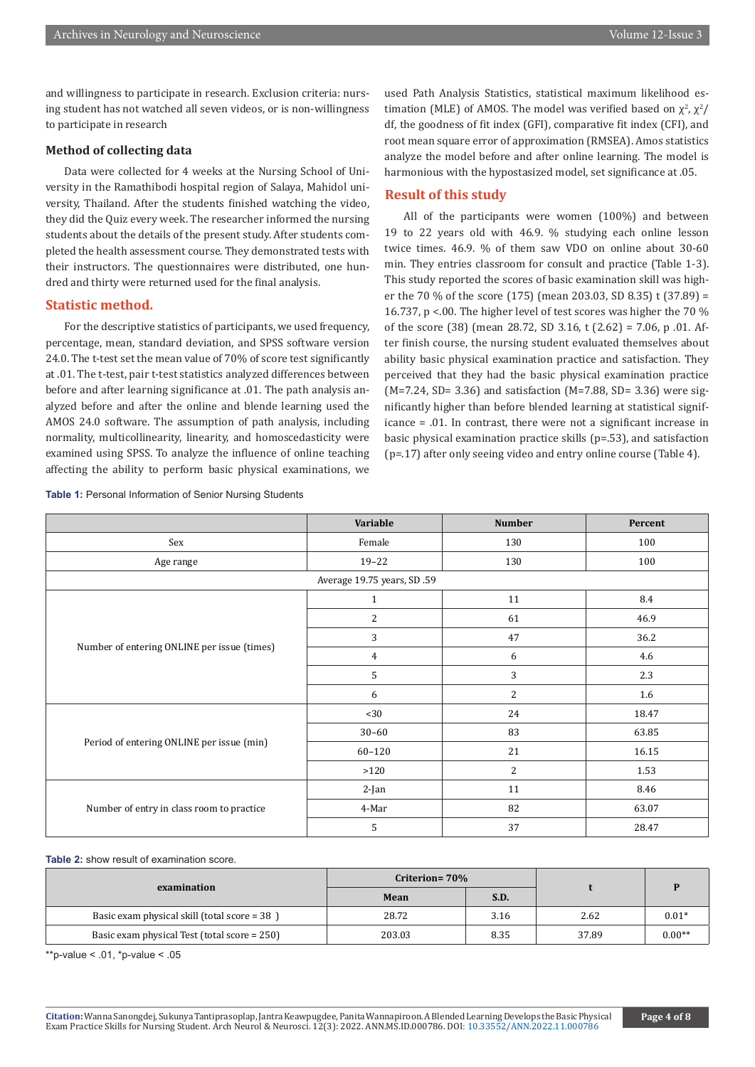and willingness to participate in research. Exclusion criteria: nursing student has not watched all seven videos, or is non-willingness to participate in research

#### **Method of collecting data**

Data were collected for 4 weeks at the Nursing School of University in the Ramathibodi hospital region of Salaya, Mahidol university, Thailand. After the students finished watching the video, they did the Quiz every week. The researcher informed the nursing students about the details of the present study. After students completed the health assessment course. They demonstrated tests with their instructors. The questionnaires were distributed, one hundred and thirty were returned used for the final analysis.

#### **Statistic method.**

For the descriptive statistics of participants, we used frequency, percentage, mean, standard deviation, and SPSS software version 24.0. The t-test set the mean value of 70% of score test significantly at .01. The t-test, pair t-test statistics analyzed differences between before and after learning significance at .01. The path analysis analyzed before and after the online and blende learning used the AMOS 24.0 software. The assumption of path analysis, including normality, multicollinearity, linearity, and homoscedasticity were examined using SPSS. To analyze the influence of online teaching affecting the ability to perform basic physical examinations, we

**Table 1:** Personal Information of Senior Nursing Students

used Path Analysis Statistics, statistical maximum likelihood estimation (MLE) of AMOS. The model was verified based on  $\chi^2$ ,  $\chi^2$ / df, the goodness of fit index (GFI), comparative fit index (CFI), and root mean square error of approximation (RMSEA). Amos statistics analyze the model before and after online learning. The model is harmonious with the hypostasized model, set significance at .05.

#### **Result of this study**

All of the participants were women (100%) and between 19 to 22 years old with 46.9. % studying each online lesson twice times. 46.9. % of them saw VDO on online about 30-60 min. They entries classroom for consult and practice (Table 1-3). This study reported the scores of basic examination skill was higher the 70 % of the score (175) (mean 203.03, SD 8.35) t (37.89) = 16.737, p <.00. The higher level of test scores was higher the 70 % of the score (38) (mean 28.72, SD 3.16, t (2.62) = 7.06, p .01. After finish course, the nursing student evaluated themselves about ability basic physical examination practice and satisfaction. They perceived that they had the basic physical examination practice (M=7.24, SD= 3.36) and satisfaction (M=7.88, SD= 3.36) were significantly higher than before blended learning at statistical significance = .01. In contrast, there were not a significant increase in basic physical examination practice skills (p=.53), and satisfaction (p=.17) after only seeing video and entry online course (Table 4).

|                                             | Variable                    | <b>Number</b>  | Percent |  |
|---------------------------------------------|-----------------------------|----------------|---------|--|
| Sex                                         | Female                      | 130            | 100     |  |
| Age range                                   | $19 - 22$                   | 130            | 100     |  |
|                                             | Average 19.75 years, SD .59 |                |         |  |
| Number of entering ONLINE per issue (times) | $\mathbf{1}$                | 11             | 8.4     |  |
|                                             | 2                           | 61             | 46.9    |  |
|                                             | 3                           | 47             | 36.2    |  |
|                                             | 4                           | 6              | 4.6     |  |
|                                             | 5                           | 3              | 2.3     |  |
|                                             | 6                           | $\overline{c}$ | 1.6     |  |
|                                             | $30$                        | 24             | 18.47   |  |
| Period of entering ONLINE per issue (min)   | $30 - 60$                   | 83             | 63.85   |  |
|                                             | $60 - 120$                  | 21             | 16.15   |  |
|                                             | >120                        | $\overline{c}$ | 1.53    |  |
|                                             | $2$ -Jan                    | 11             | 8.46    |  |
| Number of entry in class room to practice   | 4-Mar                       | 82             | 63.07   |  |
|                                             | 5                           | 37             | 28.47   |  |

#### **Table 2:** show result of examination score.

|                                              | Criterion= 70% |      |       |          |  |
|----------------------------------------------|----------------|------|-------|----------|--|
| examination                                  | Mean           | S.D. |       |          |  |
| Basic exam physical skill (total score = 38) | 28.72          | 3.16 | 2.62  | $0.01*$  |  |
| Basic exam physical Test (total score = 250) | 203.03         | 8.35 | 37.89 | $0.00**$ |  |

\*\*p-value < .01, \*p-value < .05

Exam Practice Skills for Nursing Student. Arch Neurol & Neurosci. 12(3): 2022. ANN.MS.ID.000786. DOI: [10.33552/ANN.2022.11.000786](http://dx.doi.org/10.33552/ANN.2022.12.000786)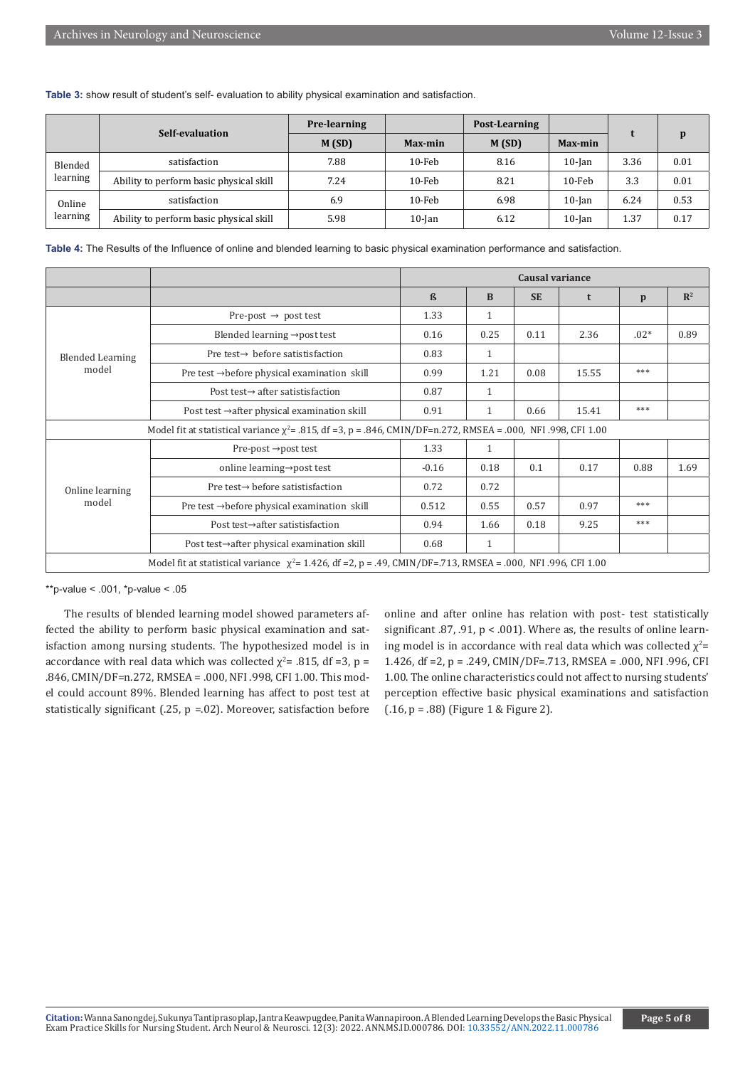**Table 3:** show result of student's self- evaluation to ability physical examination and satisfaction.

|                     |                                         | <b>Pre-learning</b> | Post-Learning |       |                |      | p    |
|---------------------|-----------------------------------------|---------------------|---------------|-------|----------------|------|------|
| Self-evaluation     |                                         | M(SD)               | Max-min       | M(SD) | <b>Max-min</b> |      |      |
| Blended<br>learning | satisfaction                            | 7.88                | $10$ -Feb     | 8.16  | $10$ -Jan      | 3.36 | 0.01 |
|                     | Ability to perform basic physical skill | 7.24                | $10$ -Feb     | 8.21  | $10$ -Feb      | 3.3  | 0.01 |
| Online<br>learning  | satisfaction                            | 6.9                 | $10$ -Feb     | 6.98  | $10$ -Jan      | 6.24 | 0.53 |
|                     | Ability to perform basic physical skill | 5.98                | $10$ -Jan     | 6.12  | $10$ -Jan      | 1.37 | 0.17 |

| Table 4: The Results of the Influence of online and blended learning to basic physical examination performance and satisfaction. |  |
|----------------------------------------------------------------------------------------------------------------------------------|--|
|----------------------------------------------------------------------------------------------------------------------------------|--|

|                                                                                                                      |                                                                                                                     | Causal variance   |              |           |       |              |                |
|----------------------------------------------------------------------------------------------------------------------|---------------------------------------------------------------------------------------------------------------------|-------------------|--------------|-----------|-------|--------------|----------------|
|                                                                                                                      |                                                                                                                     | $\mathbf{\Omega}$ | <sub>B</sub> | <b>SE</b> | t     | $\mathbf{p}$ | $\mathbb{R}^2$ |
|                                                                                                                      | Pre-post $\rightarrow$ post test                                                                                    | 1.33              | $\mathbf{1}$ |           |       |              |                |
|                                                                                                                      | Blended learning $\rightarrow$ post test                                                                            | 0.16              | 0.25         | 0.11      | 2.36  | $.02*$       | 0.89           |
| <b>Blended Learning</b><br>model                                                                                     | Pre test $\rightarrow$ before satistisfaction                                                                       | 0.83              | $\mathbf{1}$ |           |       |              |                |
|                                                                                                                      | Pre test $\rightarrow$ before physical examination skill                                                            | 0.99              | 1.21         | 0.08      | 15.55 | ***          |                |
|                                                                                                                      | Post test $\rightarrow$ after satistisfaction                                                                       | 0.87              | $\mathbf{1}$ |           |       |              |                |
|                                                                                                                      | Post test $\rightarrow$ after physical examination skill                                                            | 0.91              | $\mathbf{1}$ | 0.66      | 15.41 | ***          |                |
| Model fit at statistical variance $\chi^2$ = .815, df = 3, p = .846, CMIN/DF=n.272, RMSEA = .000, NFI .998, CFI 1.00 |                                                                                                                     |                   |              |           |       |              |                |
| Online learning<br>model                                                                                             | Pre-post $\rightarrow$ post test                                                                                    | 1.33              | $\mathbf{1}$ |           |       |              |                |
|                                                                                                                      | online learning→post test                                                                                           | $-0.16$           | 0.18         | 0.1       | 0.17  | 0.88         | 1.69           |
|                                                                                                                      | Pre test→ before satistisfaction                                                                                    | 0.72              | 0.72         |           |       |              |                |
|                                                                                                                      | Pre test $\rightarrow$ before physical examination skill                                                            | 0.512             | 0.55         | 0.57      | 0.97  | ***          |                |
|                                                                                                                      | Post test→after satistisfaction                                                                                     | 0.94              | 1.66         | 0.18      | 9.25  | ***          |                |
|                                                                                                                      | Post test→after physical examination skill                                                                          | 0.68              | $\mathbf{1}$ |           |       |              |                |
|                                                                                                                      | Model fit at statistical variance $\chi^2$ = 1.426, df = 2, p = .49, CMIN/DF=.713, RMSEA = .000, NFI .996, CFI 1.00 |                   |              |           |       |              |                |

\*\*p-value < .001, \*p-value < .05

The results of blended learning model showed parameters affected the ability to perform basic physical examination and satisfaction among nursing students. The hypothesized model is in accordance with real data which was collected  $\chi^2$ = .815, df =3, p = .846, CMIN/DF=n.272, RMSEA = .000, NFI .998, CFI 1.00. This model could account 89%. Blended learning has affect to post test at statistically significant (.25,  $p = 0.02$ ). Moreover, satisfaction before

online and after online has relation with post- test statistically significant .87, .91, p < .001). Where as, the results of online learning model is in accordance with real data which was collected  $\chi^2$ = 1.426, df =2, p = .249, CMIN/DF=.713, RMSEA = .000, NFI .996, CFI 1.00. The online characteristics could not affect to nursing students' perception effective basic physical examinations and satisfaction  $(.16, p = .88)$  (Figure 1 & Figure 2).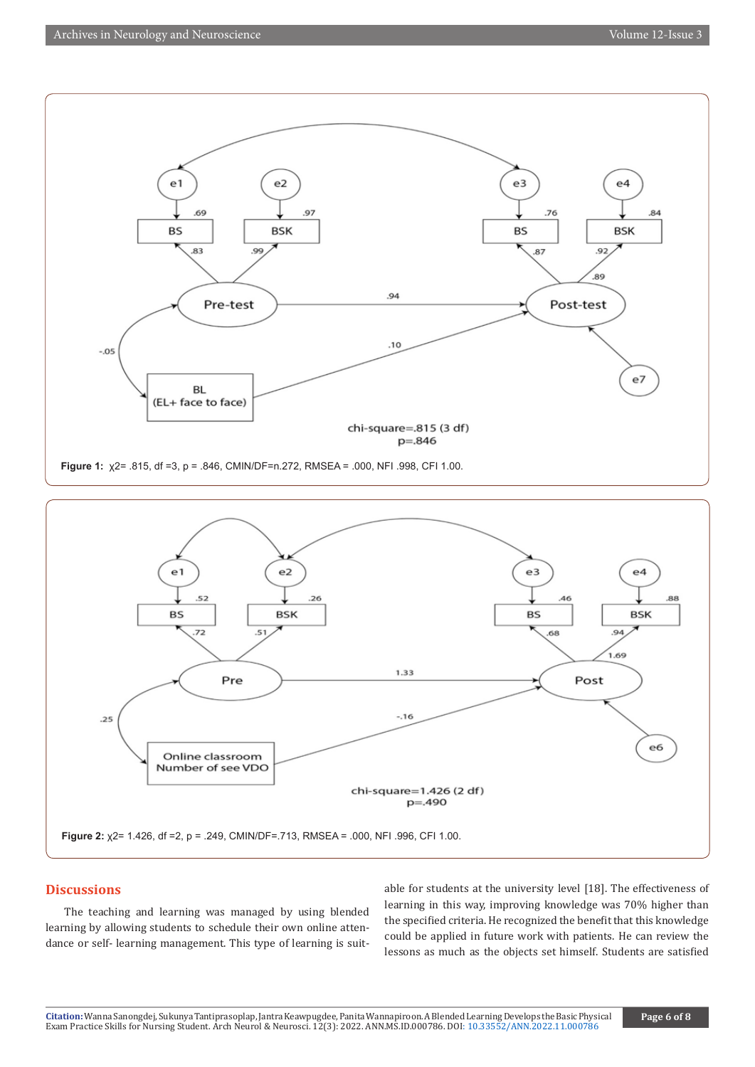



#### **Discussions**

The teaching and learning was managed by using blended learning by allowing students to schedule their own online attendance or self- learning management. This type of learning is suit-

able for students at the university level [18]. The effectiveness of learning in this way, improving knowledge was 70% higher than the specified criteria. He recognized the benefit that this knowledge could be applied in future work with patients. He can review the lessons as much as the objects set himself. Students are satisfied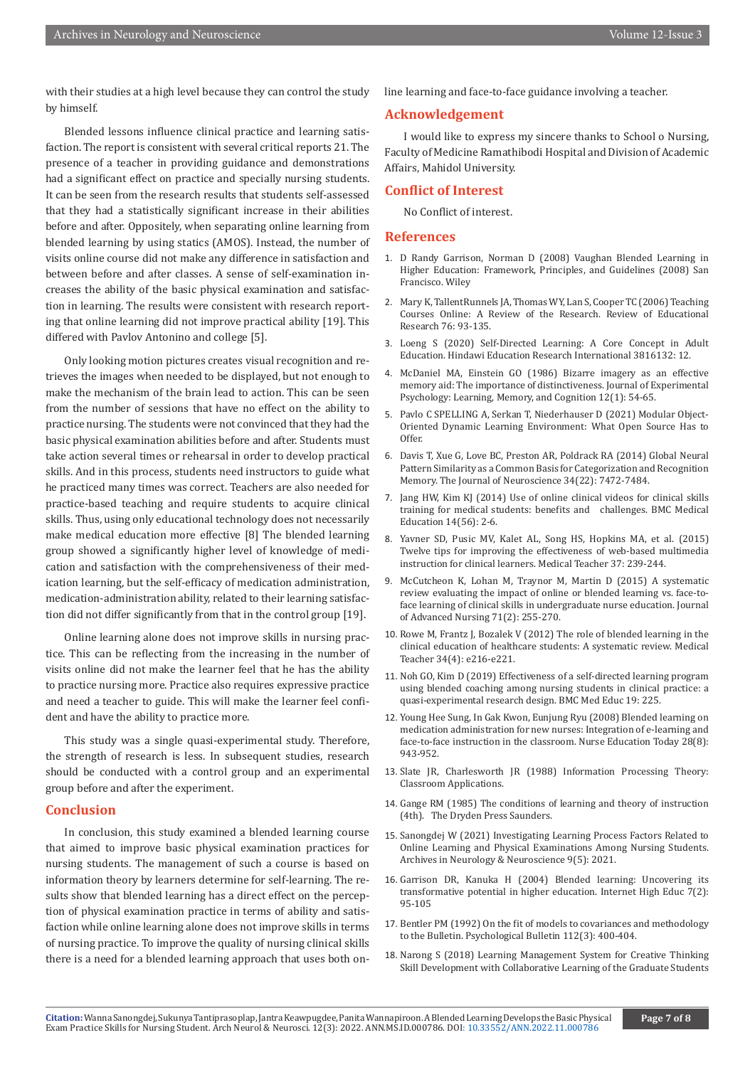with their studies at a high level because they can control the study by himself.

Blended lessons influence clinical practice and learning satisfaction. The report is consistent with several critical reports 21. The presence of a teacher in providing guidance and demonstrations had a significant effect on practice and specially nursing students. It can be seen from the research results that students self-assessed that they had a statistically significant increase in their abilities before and after. Oppositely, when separating online learning from blended learning by using statics (AMOS). Instead, the number of visits online course did not make any difference in satisfaction and between before and after classes. A sense of self-examination increases the ability of the basic physical examination and satisfaction in learning. The results were consistent with research reporting that online learning did not improve practical ability [19]. This differed with Pavlov Antonino and college [5].

Only looking motion pictures creates visual recognition and retrieves the images when needed to be displayed, but not enough to make the mechanism of the brain lead to action. This can be seen from the number of sessions that have no effect on the ability to practice nursing. The students were not convinced that they had the basic physical examination abilities before and after. Students must take action several times or rehearsal in order to develop practical skills. And in this process, students need instructors to guide what he practiced many times was correct. Teachers are also needed for practice-based teaching and require students to acquire clinical skills. Thus, using only educational technology does not necessarily make medical education more effective [8] The blended learning group showed a significantly higher level of knowledge of medication and satisfaction with the comprehensiveness of their medication learning, but the self-efficacy of medication administration, medication-administration ability, related to their learning satisfaction did not differ significantly from that in the control group [19].

Online learning alone does not improve skills in nursing practice. This can be reflecting from the increasing in the number of visits online did not make the learner feel that he has the ability to practice nursing more. Practice also requires expressive practice and need a teacher to guide. This will make the learner feel confident and have the ability to practice more.

This study was a single quasi-experimental study. Therefore, the strength of research is less. In subsequent studies, research should be conducted with a control group and an experimental group before and after the experiment.

#### **Conclusion**

In conclusion, this study examined a blended learning course that aimed to improve basic physical examination practices for nursing students. The management of such a course is based on information theory by learners determine for self-learning. The results show that blended learning has a direct effect on the perception of physical examination practice in terms of ability and satisfaction while online learning alone does not improve skills in terms of nursing practice. To improve the quality of nursing clinical skills there is a need for a blended learning approach that uses both online learning and face-to-face guidance involving a teacher.

#### **Acknowledgement**

I would like to express my sincere thanks to School o Nursing, Faculty of Medicine Ramathibodi Hospital and Division of Academic Affairs, Mahidol University.

#### **Conflict of Interest**

No Conflict of interest.

#### **References**

- 1. D Randy Garrison, Norman D (2008) Vaughan Blended Learning in Higher Education: Framework, Principles, and Guidelines (2008) San Francisco. Wiley
- 2. Mary K, TallentRunnels JA, Thomas WY, Lan S, Cooper TC (2006) Teaching Courses Online: A Review of the Research. Review of Educational Research 76: 93-135.
- 3. Loeng S (2020) Self-Directed Learning: A Core Concept in Adult Education. Hindawi Education Research International 3816132: 12.
- 4. McDaniel MA, Einstein GO (1986) Bizarre imagery as an effective memory aid: The importance of distinctiveness. Journal of Experimental Psychology: Learning, Memory, and Cognition 12(1): 54-65.
- 5. Pavlo C SPELLING A, Serkan T, Niederhauser D (2021) Modular Object-Oriented Dynamic Learning Environment: What Open Source Has to Offer.
- 6. [Davis T, Xue G, Love BC, Preston AR, Poldrack RA \(2014\) Global Neural](https://pubmed.ncbi.nlm.nih.gov/24872552/) [Pattern Similarity as a Common Basis for Categorization and Recognition](https://pubmed.ncbi.nlm.nih.gov/24872552/) [Memory. The Journal of Neuroscience 34\(22\): 7472-7484.](https://pubmed.ncbi.nlm.nih.gov/24872552/)
- 7. Jang HW, Kim KJ (2014) Use of online clinical videos for clinical skills training for medical students: benefits and challenges. BMC Medical Education 14(56): 2-6.
- 8. [Yavner SD, Pusic MV, Kalet AL, Song HS, Hopkins MA, et al. \(2015\)](https://pubmed.ncbi.nlm.nih.gov/25109353/) [Twelve tips for improving the effectiveness of web-based multimedia](https://pubmed.ncbi.nlm.nih.gov/25109353/) [instruction for clinical learners. Medical Teacher 37: 239-244.](https://pubmed.ncbi.nlm.nih.gov/25109353/)
- 9. [McCutcheon K, Lohan M, Traynor M, Martin D \(2015\) A systematic](https://pubmed.ncbi.nlm.nih.gov/25134985/) [review evaluating the impact of online or blended learning vs. face-to](https://pubmed.ncbi.nlm.nih.gov/25134985/)[face learning of clinical skills in undergraduate nurse education. Journal](https://pubmed.ncbi.nlm.nih.gov/25134985/) [of Advanced Nursing 71\(2\): 255-270.](https://pubmed.ncbi.nlm.nih.gov/25134985/)
- 10. [Rowe M, Frantz J, Bozalek V \(2012\) The role of blended learning in the](https://pubmed.ncbi.nlm.nih.gov/22455712/) [clinical education of healthcare students: A systematic review. Medical](https://pubmed.ncbi.nlm.nih.gov/22455712/) [Teacher 34\(4\): e216-e221.](https://pubmed.ncbi.nlm.nih.gov/22455712/)
- 11. [Noh GO, Kim D \(2019\) Effectiveness of a self-directed learning program](https://pubmed.ncbi.nlm.nih.gov/31234843/) [using blended coaching among nursing students in clinical practice: a](https://pubmed.ncbi.nlm.nih.gov/31234843/) [quasi-experimental research design. BMC Med Educ 19: 225.](https://pubmed.ncbi.nlm.nih.gov/31234843/)
- 12. [Young Hee Sung, In Gak Kwon, Eunjung Ryu \(2008\) Blended learning on](https://pubmed.ncbi.nlm.nih.gov/18599162/) [medication administration for new nurses: Integration of e-learning and](https://pubmed.ncbi.nlm.nih.gov/18599162/) [face-to-face instruction in the classroom. Nurse Education Today 28\(8\):](https://pubmed.ncbi.nlm.nih.gov/18599162/) [943-952.](https://pubmed.ncbi.nlm.nih.gov/18599162/)
- 13. Slate JR, Charlesworth JR (1988) Information Processing Theory: Classroom Applications.
- 14. Gange RM (1985) The conditions of learning and theory of instruction (4th). The Dryden Press Saunders.
- 15. Sanongdej W (2021) Investigating Learning Process Factors Related to Online Learning and Physical Examinations Among Nursing Students. Archives in Neurology & Neuroscience 9(5): 2021.
- 16. Garrison DR, Kanuka H (2004) Blended learning: Uncovering its transformative potential in higher education. Internet High Educ 7(2): 95-105
- 17. Bentler PM (1992) On the fit of models to covariances and methodology to the Bulletin. Psychological Bulletin 112(3): 400-404.
- 18. Narong S (2018) Learning Management System for Creative Thinking Skill Development with Collaborative Learning of the Graduate Students